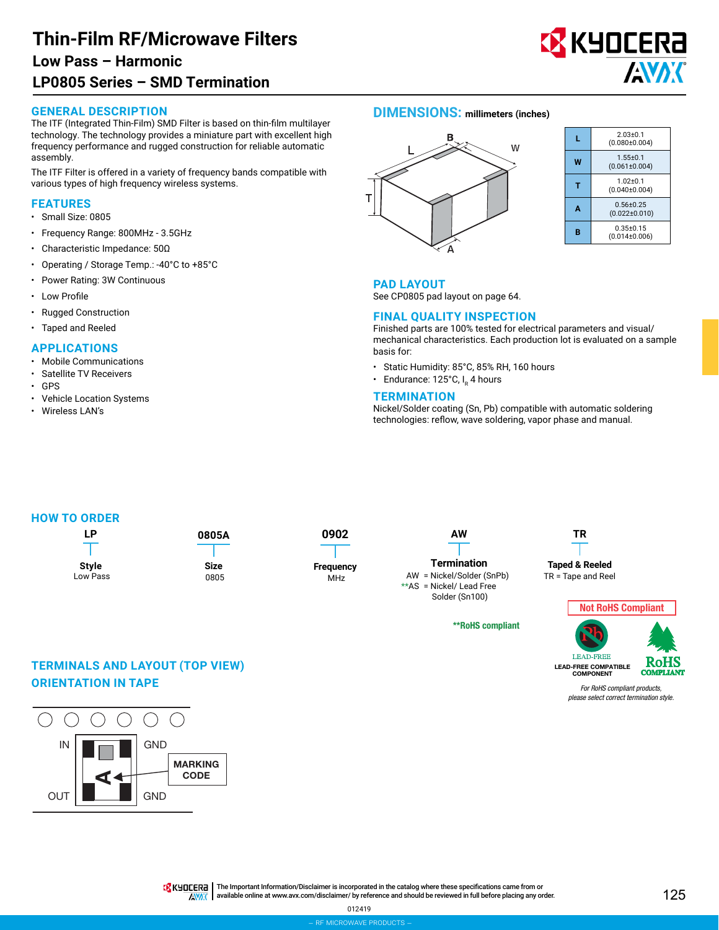# **Thin-Film RF/Microwave Filters LP0805 Series – SMD Termination Low Pass – Harmonic**

#### **GENERAL DESCRIPTION**

The ITF (Integrated Thin-Film) SMD Filter is based on thin-film multilayer technology. The technology provides a miniature part with excellent high frequency performance and rugged construction for reliable automatic assembly.

The ITF Filter is offered in a variety of frequency bands compatible with various types of high frequency wireless systems.

#### **FEATURES**

- Small Size: 0805
- Frequency Range: 800MHz 3.5GHz
- Characteristic Impedance: 50Ω
- Operating / Storage Temp.: -40°C to +85°C
- Power Rating: 3W Continuous
- Low Profile
- Rugged Construction
- Taped and Reeled

#### **APPLICATIONS**

- Mobile Communications
- Satellite TV Receivers
- GPS • Vehicle Location Systems
- Wireless LAN's
- 

## **DIMENSIONS: millimeters (inches)**



|   | $2.03 + 0.1$<br>$(0.080 \pm 0.004)$  |  |  |  |  |
|---|--------------------------------------|--|--|--|--|
| w | $1.55 + 0.1$<br>$(0.061 \pm 0.004)$  |  |  |  |  |
|   | $1.02 + 0.1$<br>$(0.040 \pm 0.004)$  |  |  |  |  |
| Α | $0.56 + 0.25$<br>$(0.022 \pm 0.010)$ |  |  |  |  |
| п | $0.35 + 0.15$<br>(0.014±0.006)       |  |  |  |  |

<mark>X</mark> KYOCERA

**AVAK** 

#### **PAD LAYOUT**

See CP0805 pad layout on page 64.

### **FINAL QUALITY INSPECTION**

Finished parts are 100% tested for electrical parameters and visual/ mechanical characteristics. Each production lot is evaluated on a sample basis for:

- Static Humidity: 85°C, 85% RH, 160 hours
- Endurance:  $125^{\circ}$ C, I<sub>p</sub> 4 hours

#### **TERMINATION**

Nickel/Solder coating (Sn, Pb) compatible with automatic soldering technologies: reflow, wave soldering, vapor phase and manual.

#### **HOW TO ORDER**



\*\*RoHS compliant

# Not RoHS Compliant **LEAD-FREE** LEAD-FREE COMPATIBLE cc COMPONENT



*For RoHS compliant products, please select correct termination style.*



**TERMINALS AND LAYOUT (TOP VIEW)**

**ORIENTATION IN TAPE**

TR KHOLERA | The Important Information/Disclaimer is incorporated in the catalog where these specifications came from or

available online at [www.avx.com/disclaimer/](http://www.avx.com/disclaimer/) by reference and should be reviewed in full before placing any order.**ANAK**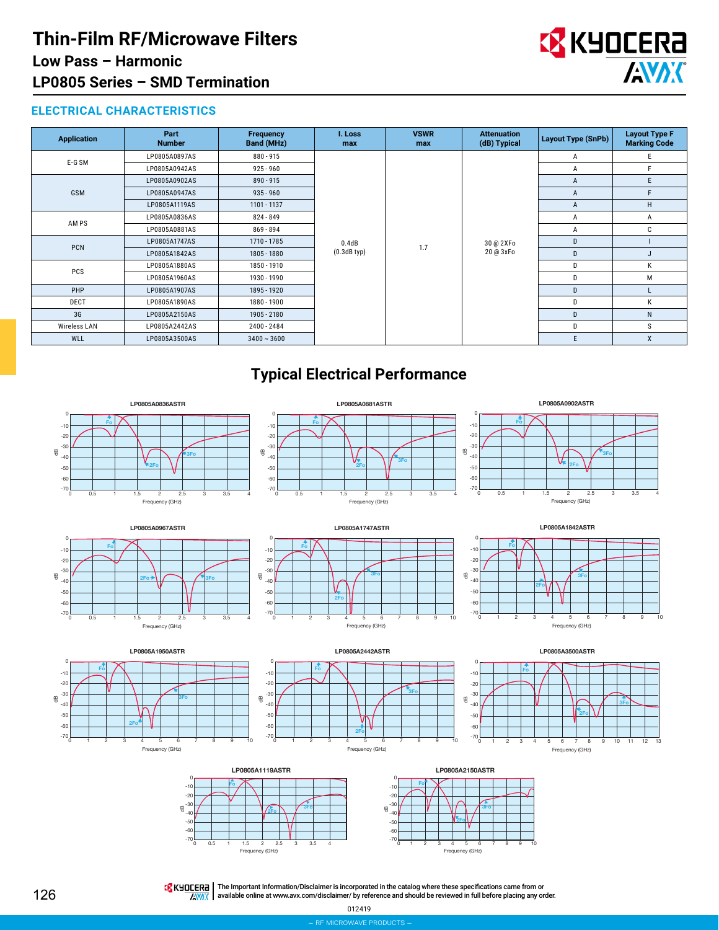

## **ELECTRICAL CHARACTERISTICS**

| <b>Application</b> | Part<br><b>Number</b> | <b>Frequency</b><br>Band (MHz) | I. Loss<br>max            | <b>VSWR</b><br>max | <b>Attenuation</b><br>(dB) Typical | <b>Layout Type (SnPb)</b> | <b>Layout Type F</b><br><b>Marking Code</b> |              |
|--------------------|-----------------------|--------------------------------|---------------------------|--------------------|------------------------------------|---------------------------|---------------------------------------------|--------------|
| E-G SM             | LP0805A0897AS         | 880 - 915                      | 0.4dB<br>$(0.3dB$ typ $)$ | 1.7                | 30 @ 2XFo<br>20 @ 3xFo             | Α                         | E                                           |              |
|                    | LP0805A0942AS         | $925 - 960$                    |                           |                    |                                    | A                         | F                                           |              |
| GSM                | LP0805A0902AS         | $890 - 915$                    |                           |                    |                                    | A                         | E                                           |              |
|                    | LP0805A0947AS         | $935 - 960$                    |                           |                    |                                    | A                         | F                                           |              |
|                    | LP0805A1119AS         | 1101 - 1137                    |                           |                    |                                    | A                         | H                                           |              |
| AM PS              | LP0805A0836AS         | 824 - 849                      |                           |                    |                                    | A                         | A                                           |              |
|                    | LP0805A0881AS         | 869 - 894                      |                           |                    |                                    | Α                         | C                                           |              |
| PCN                | LP0805A1747AS         | 1710 - 1785                    |                           |                    |                                    | D                         |                                             |              |
|                    | LP0805A1842AS         | 1805 - 1880                    |                           |                    |                                    | D                         |                                             |              |
| PCS                | LP0805A1880AS         | 1850 - 1910                    |                           |                    |                                    | D                         | К                                           |              |
|                    | LP0805A1960AS         | 1930 - 1990                    |                           |                    |                                    | D                         | М                                           |              |
| PHP                | LP0805A1907AS         | 1895 - 1920                    |                           |                    |                                    | D                         |                                             |              |
| DECT               | LP0805A1890AS         | 1880 - 1900                    |                           |                    |                                    |                           | D                                           | К            |
| 3G                 | LP0805A2150AS         | 1905 - 2180                    |                           |                    |                                    | D                         | N                                           |              |
| Wireless LAN       | LP0805A2442AS         | 2400 - 2484                    |                           |                    |                                    |                           | D                                           | s            |
| WLL                | LP0805A3500AS         | $3400 \sim 3600$               |                           |                    |                                    |                           | E                                           | $\mathsf{x}$ |

## **Typical Electrical Performance**

**LP0805A0881ASTR**

**Fo** 

0  $-10$  $-2$ -30 -40 -50 -60

dB







**2Fo** 

**3Fo** 

dB

Frequency (GHz)



**LP0805A0902ASTR**











The Important Information/Disclaimer is incorporated in the catalog where these specifications came from or available online at [www.avx.com/disclaimer/](http://www.avx.com/disclaimer/) by reference and should be reviewed in full before placing any order.